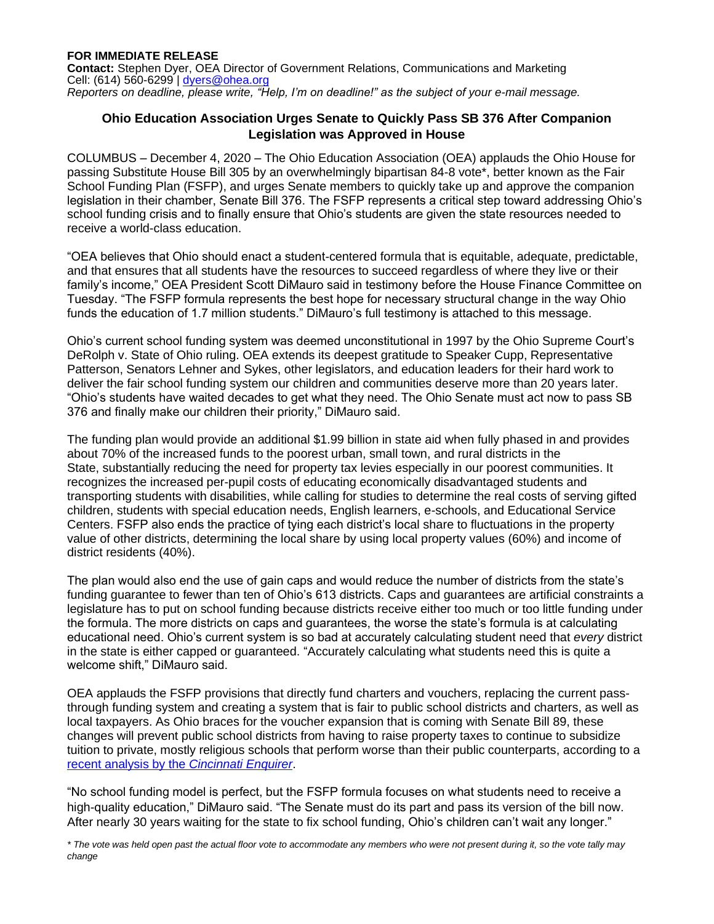**Contact:** Stephen Dyer, OEA Director of Government Relations, Communications and Marketing Cell: (614) 560-6299 | [dyers@ohea.org](mailto:dyers@ohea.org) *Reporters on deadline, please write, "Help, I'm on deadline!" as the subject of your e-mail message.*

## **Ohio Education Association Urges Senate to Quickly Pass SB 376 After Companion Legislation was Approved in House**

COLUMBUS – December 4, 2020 – The Ohio Education Association (OEA) applauds the Ohio House for passing Substitute House Bill 305 by an overwhelmingly bipartisan 84-8 vote\*, better known as the Fair School Funding Plan (FSFP), and urges Senate members to quickly take up and approve the companion legislation in their chamber, Senate Bill 376. The FSFP represents a critical step toward addressing Ohio's school funding crisis and to finally ensure that Ohio's students are given the state resources needed to receive a world-class education.

"OEA believes that Ohio should enact a student-centered formula that is equitable, adequate, predictable, and that ensures that all students have the resources to succeed regardless of where they live or their family's income," OEA President Scott DiMauro said in testimony before the House Finance Committee on Tuesday. "The FSFP formula represents the best hope for necessary structural change in the way Ohio funds the education of 1.7 million students." DiMauro's full testimony is attached to this message.

Ohio's current school funding system was deemed unconstitutional in 1997 by the Ohio Supreme Court's DeRolph v. State of Ohio ruling. OEA extends its deepest gratitude to Speaker Cupp, Representative Patterson, Senators Lehner and Sykes, other legislators, and education leaders for their hard work to deliver the fair school funding system our children and communities deserve more than 20 years later. "Ohio's students have waited decades to get what they need. The Ohio Senate must act now to pass SB 376 and finally make our children their priority," DiMauro said.

The funding plan would provide an additional \$1.99 billion in state aid when fully phased in and provides about 70% of the increased funds to the poorest urban, small town, and rural districts in the State, substantially reducing the need for property tax levies especially in our poorest communities. It recognizes the increased per-pupil costs of educating economically disadvantaged students and transporting students with disabilities, while calling for studies to determine the real costs of serving gifted children, students with special education needs, English learners, e-schools, and Educational Service Centers. FSFP also ends the practice of tying each district's local share to fluctuations in the property value of other districts, determining the local share by using local property values (60%) and income of district residents (40%).

The plan would also end the use of gain caps and would reduce the number of districts from the state's funding guarantee to fewer than ten of Ohio's 613 districts. Caps and guarantees are artificial constraints a legislature has to put on school funding because districts receive either too much or too little funding under the formula. The more districts on caps and guarantees, the worse the state's formula is at calculating educational need. Ohio's current system is so bad at accurately calculating student need that *every* district in the state is either capped or guaranteed. "Accurately calculating what students need this is quite a welcome shift," DiMauro said.

OEA applauds the FSFP provisions that directly fund charters and vouchers, replacing the current passthrough funding system and creating a system that is fair to public school districts and charters, as well as local taxpayers. As Ohio braces for the voucher expansion that is coming with Senate Bill 89, these changes will prevent public school districts from having to raise property taxes to continue to subsidize tuition to private, mostly religious schools that perform worse than their public counterparts, according to a [recent analysis by the](https://www.cincinnati.com/story/news/2020/08/19/private-school-ohio-vouchers/5399188002/) *Cincinnati Enquirer*.

"No school funding model is perfect, but the FSFP formula focuses on what students need to receive a high-quality education," DiMauro said. "The Senate must do its part and pass its version of the bill now. After nearly 30 years waiting for the state to fix school funding, Ohio's children can't wait any longer."

*\* The vote was held open past the actual floor vote to accommodate any members who were not present during it, so the vote tally may change*